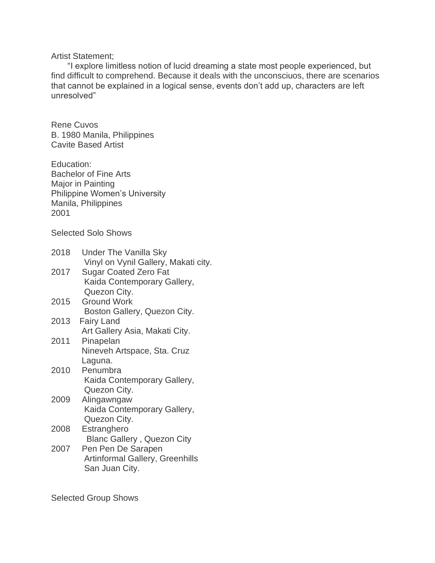## Artist Statement;

"I explore limitless notion of lucid dreaming a state most people experienced, but find difficult to comprehend. Because it deals with the unconsciuos, there are scenarios that cannot be explained in a logical sense, events don't add up, characters are left unresolved"

Rene Cuvos B. 1980 Manila, Philippines Cavite Based Artist

Education: Bachelor of Fine Arts Major in Painting Philippine Women's University Manila, Philippines 2001

Selected Solo Shows

| Vinyl on Vynil Gallery, Makati city. |
|--------------------------------------|
| Kaida Contemporary Gallery,          |
| Boston Gallery, Quezon City.         |
|                                      |
|                                      |
| Kaida Contemporary Gallery,          |
| Kaida Contemporary Gallery,          |
|                                      |
| Artinformal Gallery, Greenhills      |
| <b>Blanc Gallery, Quezon City</b>    |

Selected Group Shows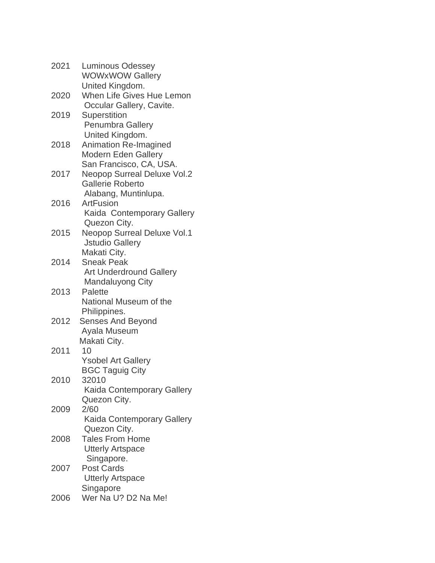| 2021 | <b>Luminous Odessey</b><br><b>WOWxWOW Gallery</b> |
|------|---------------------------------------------------|
|      | United Kingdom.                                   |
| 2020 | <b>When Life Gives Hue Lemon</b>                  |
|      | Occular Gallery, Cavite.                          |
| 2019 | <b>Superstition</b>                               |
|      | <b>Penumbra Gallery</b>                           |
|      | United Kingdom.                                   |
| 2018 | <b>Animation Re-Imagined</b>                      |
|      | <b>Modern Eden Gallery</b>                        |
|      | San Francisco, CA, USA.                           |
| 2017 | <b>Neopop Surreal Deluxe Vol.2</b>                |
|      | <b>Gallerie Roberto</b>                           |
|      | Alabang, Muntinlupa.                              |
| 2016 | ArtFusion                                         |
|      | Kaida Contemporary Gallery                        |
|      | Quezon City.                                      |
| 2015 | <b>Neopop Surreal Deluxe Vol.1</b>                |
|      | <b>Jstudio Gallery</b>                            |
|      | Makati City.                                      |
| 2014 | <b>Sneak Peak</b>                                 |
|      | <b>Art Underdround Gallery</b>                    |
|      | Mandaluyong City                                  |
| 2013 | Palette                                           |
|      | National Museum of the                            |
|      | Philippines.                                      |
| 2012 | <b>Senses And Beyond</b>                          |
|      | Ayala Museum                                      |
|      | Makati City.                                      |
| 2011 | 10                                                |
|      | <b>Ysobel Art Gallery</b>                         |
| 2010 | <b>BGC Taguig City</b><br>32010                   |
|      |                                                   |
|      | Kaida Contemporary Gallery<br>Quezon City.        |
| 2009 | 2/60                                              |
|      | Kaida Contemporary Gallery                        |
|      | Quezon City.                                      |
| 2008 | <b>Tales From Home</b>                            |
|      | <b>Utterly Artspace</b>                           |
|      | Singapore.                                        |
| 2007 | <b>Post Cards</b>                                 |
|      | <b>Utterly Artspace</b>                           |
|      | Singapore                                         |
| 2006 | Wer Na U? D2 Na Me!                               |
|      |                                                   |